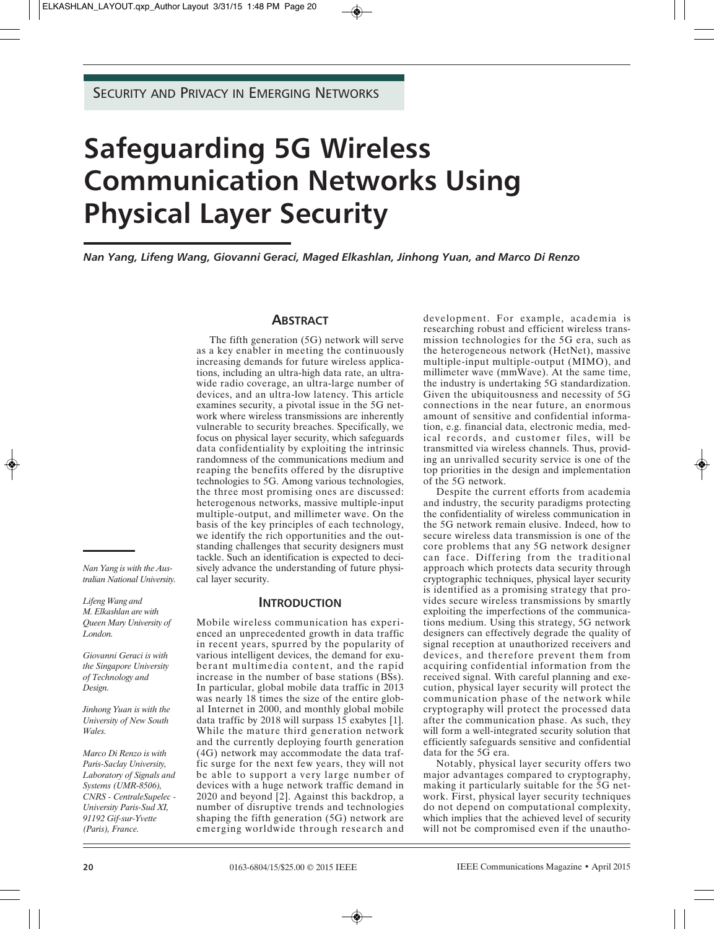# **Safeguarding 5G Wireless Communication Networks Using Physical Layer Security**

*Nan Yang, Lifeng Wang, Giovanni Geraci, Maged Elkashlan, Jinhong Yuan, and Marco Di Renzo*

## **ABSTRACT**

The fifth generation (5G) network will serve as a key enabler in meeting the continuously increasing demands for future wireless applications, including an ultra-high data rate, an ultrawide radio coverage, an ultra-large number of devices, and an ultra-low latency. This article examines security, a pivotal issue in the 5G network where wireless transmissions are inherently vulnerable to security breaches. Specifically, we focus on physical layer security, which safeguards data confidentiality by exploiting the intrinsic randomness of the communications medium and reaping the benefits offered by the disruptive technologies to 5G. Among various technologies, the three most promising ones are discussed: heterogenous networks, massive multiple-input multiple-output, and millimeter wave. On the basis of the key principles of each technology, we identify the rich opportunities and the outstanding challenges that security designers must tackle. Such an identification is expected to decisively advance the understanding of future physical layer security.

*Nan Yang is with the Australian National University.*

*Lifeng Wang and M. Elkashlan are with Queen Mary University of London.*

*Giovanni Geraci is with the Singapore University of Technology and Design.*

*Jinhong Yuan is with the University of New South Wales.*

*Marco Di Renzo is with Paris-Saclay University, Laboratory of Signals and Systems (UMR-8506), CNRS - CentraleSupelec - University Paris-Sud XI, 91192 Gif-sur-Yvette (Paris), France.*

## **INTRODUCTION**

Mobile wireless communication has experienced an unprecedented growth in data traffic in recent years, spurred by the popularity of various intelligent devices, the demand for exuberant multimedia content, and the rapid increase in the number of base stations (BSs). In particular, global mobile data traffic in 2013 was nearly 18 times the size of the entire global Internet in 2000, and monthly global mobile data traffic by 2018 will surpass 15 exabytes [1]. While the mature third generation network and the currently deploying fourth generation (4G) network may accommodate the data traffic surge for the next few years, they will not be able to support a very large number of devices with a huge network traffic demand in 2020 and beyond [2]. Against this backdrop, a number of disruptive trends and technologies shaping the fifth generation (5G) network are emerging worldwide through research and

development. For example, academia is researching robust and efficient wireless transmission technologies for the 5G era, such as the heterogeneous network (HetNet), massive multiple-input multiple-output (MIMO), and millimeter wave (mmWave). At the same time, the industry is undertaking 5G standardization. Given the ubiquitousness and necessity of 5G connections in the near future, an enormous amount of sensitive and confidential information, e.g. financial data, electronic media, medical records, and customer files, will be transmitted via wireless channels. Thus, providing an unrivalled security service is one of the top priorities in the design and implementation of the 5G network.

Despite the current efforts from academia and industry, the security paradigms protecting the confidentiality of wireless communication in the 5G network remain elusive. Indeed, how to secure wireless data transmission is one of the core problems that any 5G network designer can face. Differing from the traditional approach which protects data security through cryptographic techniques, physical layer security is identified as a promising strategy that provides secure wireless transmissions by smartly exploiting the imperfections of the communications medium. Using this strategy, 5G network designers can effectively degrade the quality of signal reception at unauthorized receivers and devices, and therefore prevent them from acquiring confidential information from the received signal. With careful planning and execution, physical layer security will protect the communication phase of the network while cryptography will protect the processed data after the communication phase. As such, they will form a well-integrated security solution that efficiently safeguards sensitive and confidential data for the 5G era.

Notably, physical layer security offers two major advantages compared to cryptography, making it particularly suitable for the 5G network. First, physical layer security techniques do not depend on computational complexity, which implies that the achieved level of security will not be compromised even if the unautho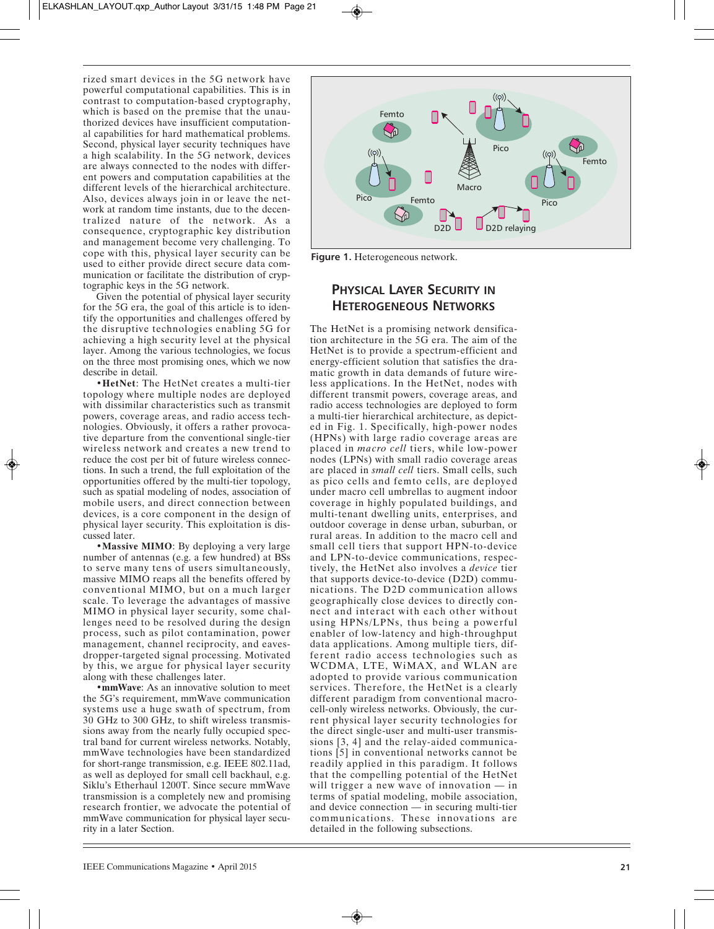rized smart devices in the 5G network have powerful computational capabilities. This is in contrast to computation-based cryptography, which is based on the premise that the unauthorized devices have insufficient computational capabilities for hard mathematical problems. Second, physical layer security techniques have a high scalability. In the 5G network, devices are always connected to the nodes with different powers and computation capabilities at the different levels of the hierarchical architecture. Also, devices always join in or leave the network at random time instants, due to the decentralized nature of the network. As a consequence, cryptographic key distribution and management become very challenging. To cope with this, physical layer security can be used to either provide direct secure data communication or facilitate the distribution of cryptographic keys in the 5G network.

Given the potential of physical layer security for the 5G era, the goal of this article is to identify the opportunities and challenges offered by the disruptive technologies enabling 5G for achieving a high security level at the physical layer. Among the various technologies, we focus on the three most promising ones, which we now describe in detail.

•**HetNet**: The HetNet creates a multi-tier topology where multiple nodes are deployed with dissimilar characteristics such as transmit powers, coverage areas, and radio access technologies. Obviously, it offers a rather provocative departure from the conventional single-tier wireless network and creates a new trend to reduce the cost per bit of future wireless connections. In such a trend, the full exploitation of the opportunities offered by the multi-tier topology, such as spatial modeling of nodes, association of mobile users, and direct connection between devices, is a core component in the design of physical layer security. This exploitation is discussed later.

•**Massive MIMO**: By deploying a very large number of antennas (e.g. a few hundred) at BSs to serve many tens of users simultaneously, massive MIMO reaps all the benefits offered by conventional MIMO, but on a much larger scale. To leverage the advantages of massive MIMO in physical layer security, some challenges need to be resolved during the design process, such as pilot contamination, power management, channel reciprocity, and eavesdropper-targeted signal processing. Motivated by this, we argue for physical layer security along with these challenges later.

•**mmWave**: As an innovative solution to meet the 5G's requirement, mmWave communication systems use a huge swath of spectrum, from 30 GHz to 300 GHz, to shift wireless transmissions away from the nearly fully occupied spectral band for current wireless networks. Notably, mmWave technologies have been standardized for short-range transmission, e.g. IEEE 802.11ad, as well as deployed for small cell backhaul, e.g. Siklu's Etherhaul 1200T. Since secure mmWave transmission is a completely new and promising research frontier, we advocate the potential of mmWave communication for physical layer security in a later Section.



**Figure 1.** Heterogeneous network.

# **PHYSICAL LAYER SECURITY IN HETEROGENEOUS NETWORKS**

The HetNet is a promising network densification architecture in the 5G era. The aim of the HetNet is to provide a spectrum-efficient and energy-efficient solution that satisfies the dramatic growth in data demands of future wireless applications. In the HetNet, nodes with different transmit powers, coverage areas, and radio access technologies are deployed to form a multi-tier hierarchical architecture, as depicted in Fig. 1. Specifically, high-power nodes (HPNs) with large radio coverage areas are placed in *macro cell* tiers, while low-power nodes (LPNs) with small radio coverage areas are placed in *small cell* tiers. Small cells, such as pico cells and femto cells, are deployed under macro cell umbrellas to augment indoor coverage in highly populated buildings, and multi-tenant dwelling units, enterprises, and outdoor coverage in dense urban, suburban, or rural areas. In addition to the macro cell and small cell tiers that support HPN-to-device and LPN-to-device communications, respectively, the HetNet also involves a *device* tier that supports device-to-device (D2D) communications. The D2D communication allows geographically close devices to directly connect and interact with each other without using HPNs/LPNs, thus being a powerful enabler of low-latency and high-throughput data applications. Among multiple tiers, different radio access technologies such as WCDMA, LTE, WiMAX, and WLAN are adopted to provide various communication services. Therefore, the HetNet is a clearly different paradigm from conventional macrocell-only wireless networks. Obviously, the current physical layer security technologies for the direct single-user and multi-user transmissions [3, 4] and the relay-aided communications [5] in conventional networks cannot be readily applied in this paradigm. It follows that the compelling potential of the HetNet will trigger a new wave of innovation — in terms of spatial modeling, mobile association, and device connection — in securing multi-tier communications. These innovations are detailed in the following subsections.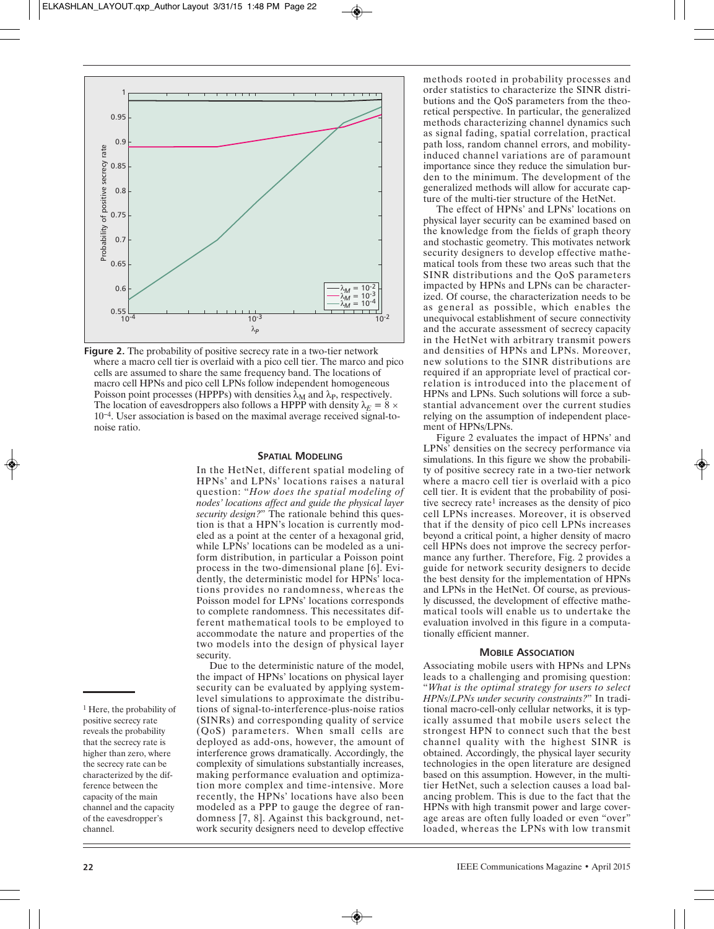

**Figure 2.** The probability of positive secrecy rate in a two-tier network where a macro cell tier is overlaid with a pico cell tier. The marco and pico cells are assumed to share the same frequency band. The locations of macro cell HPNs and pico cell LPNs follow independent homogeneous Poisson point processes (HPPPs) with densities  $\lambda_M$  and  $\lambda_P$ , respectively. The location of eavesdroppers also follows a HPPP with density  $\lambda_E = 8 \times$ 10–4. User association is based on the maximal average received signal-tonoise ratio.

#### **SPATIAL MODELING**

In the HetNet, different spatial modeling of HPNs' and LPNs' locations raises a natural question: "*How does the spatial modeling of nodes' locations affect and guide the physical layer security design?*" The rationale behind this question is that a HPN's location is currently modeled as a point at the center of a hexagonal grid, while LPNs' locations can be modeled as a uniform distribution, in particular a Poisson point process in the two-dimensional plane [6]. Evidently, the deterministic model for HPNs' locations provides no randomness, whereas the Poisson model for LPNs' locations corresponds to complete randomness. This necessitates different mathematical tools to be employed to accommodate the nature and properties of the two models into the design of physical layer security.

Due to the deterministic nature of the model, the impact of HPNs' locations on physical layer security can be evaluated by applying systemlevel simulations to approximate the distributions of signal-to-interference-plus-noise ratios (SINRs) and corresponding quality of service (QoS) parameters. When small cells are deployed as add-ons, however, the amount of interference grows dramatically. Accordingly, the complexity of simulations substantially increases, making performance evaluation and optimization more complex and time-intensive. More recently, the HPNs' locations have also been modeled as a PPP to gauge the degree of randomness [7, 8]. Against this background, network security designers need to develop effective methods rooted in probability processes and order statistics to characterize the SINR distributions and the QoS parameters from the theoretical perspective. In particular, the generalized methods characterizing channel dynamics such as signal fading, spatial correlation, practical path loss, random channel errors, and mobilityinduced channel variations are of paramount importance since they reduce the simulation burden to the minimum. The development of the generalized methods will allow for accurate capture of the multi-tier structure of the HetNet.

The effect of HPNs' and LPNs' locations on physical layer security can be examined based on the knowledge from the fields of graph theory and stochastic geometry. This motivates network security designers to develop effective mathematical tools from these two areas such that the SINR distributions and the QoS parameters impacted by HPNs and LPNs can be characterized. Of course, the characterization needs to be as general as possible, which enables the unequivocal establishment of secure connectivity and the accurate assessment of secrecy capacity in the HetNet with arbitrary transmit powers and densities of HPNs and LPNs. Moreover, new solutions to the SINR distributions are required if an appropriate level of practical correlation is introduced into the placement of HPNs and LPNs. Such solutions will force a substantial advancement over the current studies relying on the assumption of independent placement of HPNs/LPNs.

Figure 2 evaluates the impact of HPNs' and LPNs' densities on the secrecy performance via simulations. In this figure we show the probability of positive secrecy rate in a two-tier network where a macro cell tier is overlaid with a pico cell tier. It is evident that the probability of positive secrecy rate<sup>1</sup> increases as the density of pico cell LPNs increases. Moreover, it is observed that if the density of pico cell LPNs increases beyond a critical point, a higher density of macro cell HPNs does not improve the secrecy performance any further. Therefore, Fig. 2 provides a guide for network security designers to decide the best density for the implementation of HPNs and LPNs in the HetNet. Of course, as previously discussed, the development of effective mathematical tools will enable us to undertake the evaluation involved in this figure in a computationally efficient manner.

#### **MOBILE ASSOCIATION**

Associating mobile users with HPNs and LPNs leads to a challenging and promising question: "*What is the optimal strategy for users to select HPNs/LPNs under security constraints?*" In traditional macro-cell-only cellular networks, it is typically assumed that mobile users select the strongest HPN to connect such that the best channel quality with the highest SINR is obtained. Accordingly, the physical layer security technologies in the open literature are designed based on this assumption. However, in the multitier HetNet, such a selection causes a load balancing problem. This is due to the fact that the HPNs with high transmit power and large coverage areas are often fully loaded or even "over" loaded, whereas the LPNs with low transmit

<sup>1</sup> Here, the probability of positive secrecy rate reveals the probability that the secrecy rate is higher than zero, where the secrecy rate can be characterized by the difference between the capacity of the main channel and the capacity of the eavesdropper's channel.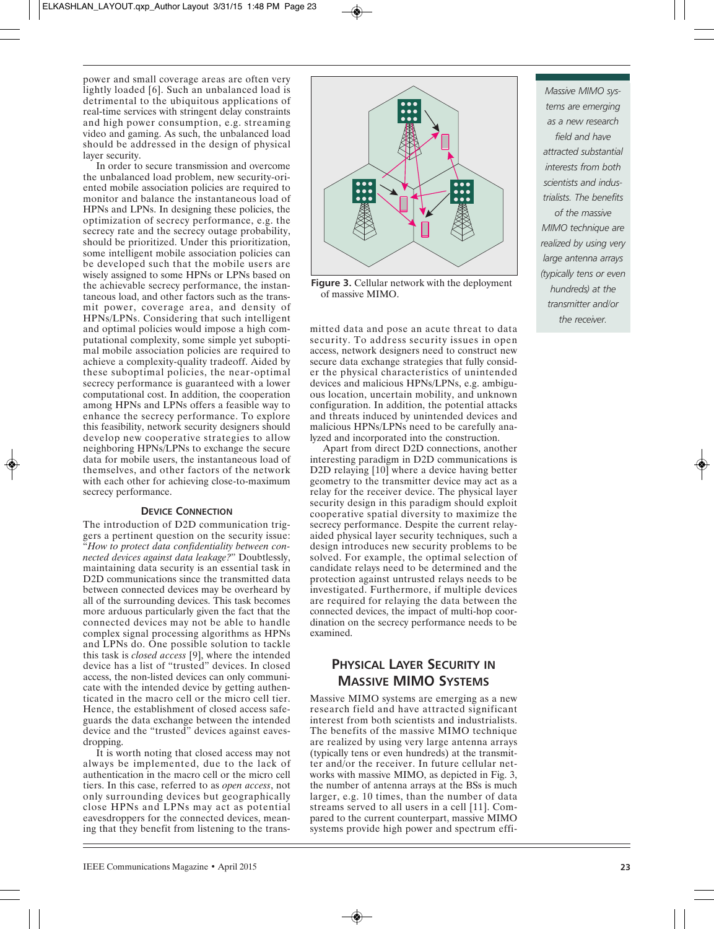power and small coverage areas are often very lightly loaded [6]. Such an unbalanced load is detrimental to the ubiquitous applications of real-time services with stringent delay constraints and high power consumption, e.g. streaming video and gaming. As such, the unbalanced load should be addressed in the design of physical layer security.

In order to secure transmission and overcome the unbalanced load problem, new security-oriented mobile association policies are required to monitor and balance the instantaneous load of HPNs and LPNs. In designing these policies, the optimization of secrecy performance, e.g. the secrecy rate and the secrecy outage probability, should be prioritized. Under this prioritization, some intelligent mobile association policies can be developed such that the mobile users are wisely assigned to some HPNs or LPNs based on the achievable secrecy performance, the instantaneous load, and other factors such as the transmit power, coverage area, and density of HPNs/LPNs. Considering that such intelligent and optimal policies would impose a high computational complexity, some simple yet suboptimal mobile association policies are required to achieve a complexity-quality tradeoff. Aided by these suboptimal policies, the near-optimal secrecy performance is guaranteed with a lower computational cost. In addition, the cooperation among HPNs and LPNs offers a feasible way to enhance the secrecy performance. To explore this feasibility, network security designers should develop new cooperative strategies to allow neighboring HPNs/LPNs to exchange the secure data for mobile users, the instantaneous load of themselves, and other factors of the network with each other for achieving close-to-maximum secrecy performance.

## **DEVICE CONNECTION**

The introduction of D2D communication triggers a pertinent question on the security issue: "*How to protect data confidentiality between connected devices against data leakage?*" Doubtlessly, maintaining data security is an essential task in D2D communications since the transmitted data between connected devices may be overheard by all of the surrounding devices. This task becomes more arduous particularly given the fact that the connected devices may not be able to handle complex signal processing algorithms as HPNs and LPNs do. One possible solution to tackle this task is *closed access* [9], where the intended device has a list of "trusted" devices. In closed access, the non-listed devices can only communicate with the intended device by getting authenticated in the macro cell or the micro cell tier. Hence, the establishment of closed access safeguards the data exchange between the intended device and the "trusted" devices against eavesdropping.

It is worth noting that closed access may not always be implemented, due to the lack of authentication in the macro cell or the micro cell tiers. In this case, referred to as *open access*, not only surrounding devices but geographically close HPNs and LPNs may act as potential eavesdroppers for the connected devices, meaning that they benefit from listening to the trans-



**Figure 3.** Cellular network with the deployment of massive MIMO.

mitted data and pose an acute threat to data security. To address security issues in open access, network designers need to construct new secure data exchange strategies that fully consider the physical characteristics of unintended devices and malicious HPNs/LPNs, e.g. ambiguous location, uncertain mobility, and unknown configuration. In addition, the potential attacks and threats induced by unintended devices and malicious HPNs/LPNs need to be carefully analyzed and incorporated into the construction.

Apart from direct D2D connections, another interesting paradigm in D2D communications is D2D relaying [10] where a device having better geometry to the transmitter device may act as a relay for the receiver device. The physical layer security design in this paradigm should exploit cooperative spatial diversity to maximize the secrecy performance. Despite the current relayaided physical layer security techniques, such a design introduces new security problems to be solved. For example, the optimal selection of candidate relays need to be determined and the protection against untrusted relays needs to be investigated. Furthermore, if multiple devices are required for relaying the data between the connected devices, the impact of multi-hop coordination on the secrecy performance needs to be examined.

# **PHYSICAL LAYER SECURITY IN MASSIVE MIMO SYSTEMS**

Massive MIMO systems are emerging as a new research field and have attracted significant interest from both scientists and industrialists. The benefits of the massive MIMO technique are realized by using very large antenna arrays (typically tens or even hundreds) at the transmitter and/or the receiver. In future cellular networks with massive MIMO, as depicted in Fig. 3, the number of antenna arrays at the BSs is much larger, e.g. 10 times, than the number of data streams served to all users in a cell [11]. Compared to the current counterpart, massive MIMO systems provide high power and spectrum effi-

*Massive MIMO systems are emerging as a new research field and have attracted substantial interests from both scientists and industrialists. The benefits of the massive MIMO technique are realized by using very large antenna arrays (typically tens or even hundreds) at the transmitter and/or the receiver.*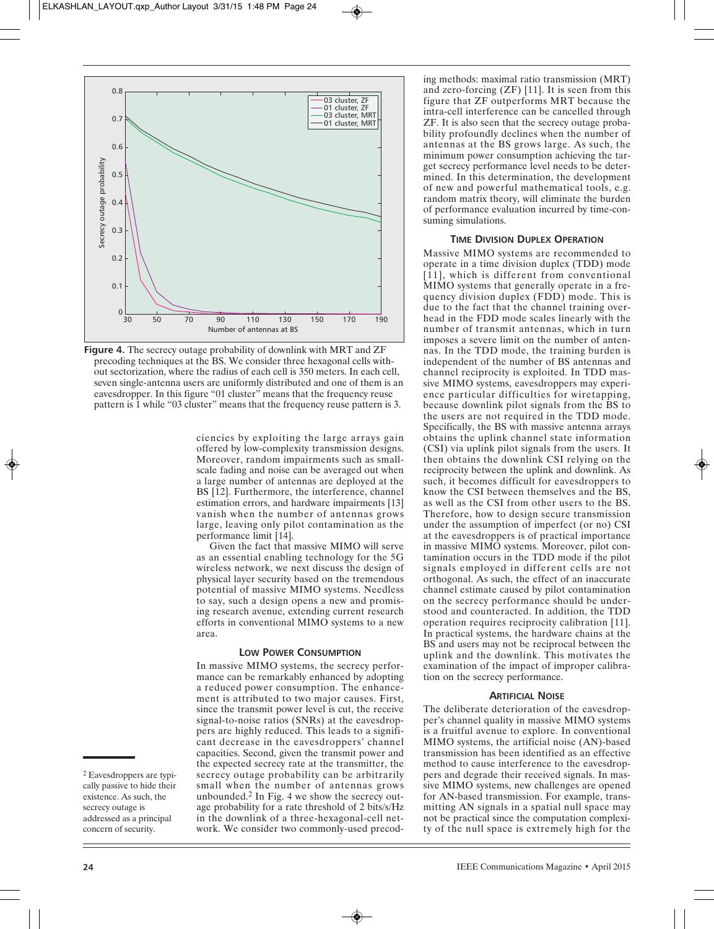

**Figure 4.** The secrecy outage probability of downlink with MRT and ZF precoding techniques at the BS. We consider three hexagonal cells without sectorization, where the radius of each cell is 350 meters. In each cell, seven single-antenna users are uniformly distributed and one of them is an eavesdropper. In this figure "01 cluster" means that the frequency reuse pattern is 1 while "03 cluster" means that the frequency reuse pattern is 3.

ciencies by exploiting the large arrays gain offered by low-complexity transmission designs. Moreover, random impairments such as smallscale fading and noise can be averaged out when a large number of antennas are deployed at the BS [12]. Furthermore, the interference, channel estimation errors, and hardware impairments [13] vanish when the number of antennas grows large, leaving only pilot contamination as the performance limit [14].

Given the fact that massive MIMO will serve as an essential enabling technology for the 5G wireless network, we next discuss the design of physical layer security based on the tremendous potential of massive MIMO systems. Needless to say, such a design opens a new and promising research avenue, extending current research efforts in conventional MIMO systems to a new area.

#### **LOW POWER CONSUMPTION**

In massive MIMO systems, the secrecy performance can be remarkably enhanced by adopting a reduced power consumption. The enhancement is attributed to two major causes. First, since the transmit power level is cut, the receive signal-to-noise ratios (SNRs) at the eavesdroppers are highly reduced. This leads to a significant decrease in the eavesdroppers' channel capacities. Second, given the transmit power and the expected secrecy rate at the transmitter, the secrecy outage probability can be arbitrarily small when the number of antennas grows unbounded.2 In Fig. 4 we show the secrecy outage probability for a rate threshold of 2 bits/s/Hz in the downlink of a three-hexagonal-cell network. We consider two commonly-used precoding methods: maximal ratio transmission (MRT) and zero-forcing (ZF) [11]. It is seen from this figure that ZF outperforms MRT because the intra-cell interference can be cancelled through ZF. It is also seen that the secrecy outage probability profoundly declines when the number of antennas at the BS grows large. As such, the minimum power consumption achieving the target secrecy performance level needs to be determined. In this determination, the development of new and powerful mathematical tools, e.g. random matrix theory, will eliminate the burden of performance evaluation incurred by time-consuming simulations.

#### **TIME DIVISION DUPLEX OPERATION**

Massive MIMO systems are recommended to operate in a time division duplex (TDD) mode [11], which is different from conventional MIMO systems that generally operate in a frequency division duplex (FDD) mode. This is due to the fact that the channel training overhead in the FDD mode scales linearly with the number of transmit antennas, which in turn imposes a severe limit on the number of antennas. In the TDD mode, the training burden is independent of the number of BS antennas and channel reciprocity is exploited. In TDD massive MIMO systems, eavesdroppers may experience particular difficulties for wiretapping, because downlink pilot signals from the BS to the users are not required in the TDD mode. Specifically, the BS with massive antenna arrays obtains the uplink channel state information (CSI) via uplink pilot signals from the users. It then obtains the downlink CSI relying on the reciprocity between the uplink and downlink. As such, it becomes difficult for eavesdroppers to know the CSI between themselves and the BS, as well as the CSI from other users to the BS. Therefore, how to design secure transmission under the assumption of imperfect (or no) CSI at the eavesdroppers is of practical importance in massive MIMO systems. Moreover, pilot contamination occurs in the TDD mode if the pilot signals employed in different cells are not orthogonal. As such, the effect of an inaccurate channel estimate caused by pilot contamination on the secrecy performance should be understood and counteracted. In addition, the TDD operation requires reciprocity calibration [11]. In practical systems, the hardware chains at the BS and users may not be reciprocal between the uplink and the downlink. This motivates the examination of the impact of improper calibration on the secrecy performance.

#### **ARTIFICIAL NOISE**

The deliberate deterioration of the eavesdropper's channel quality in massive MIMO systems is a fruitful avenue to explore. In conventional MIMO systems, the artificial noise (AN)-based transmission has been identified as an effective method to cause interference to the eavesdroppers and degrade their received signals. In massive MIMO systems, new challenges are opened for AN-based transmission. For example, transmitting AN signals in a spatial null space may not be practical since the computation complexity of the null space is extremely high for the

<sup>2</sup> Eavesdroppers are typically passive to hide their existence. As such, the secrecy outage is addressed as a principal concern of security.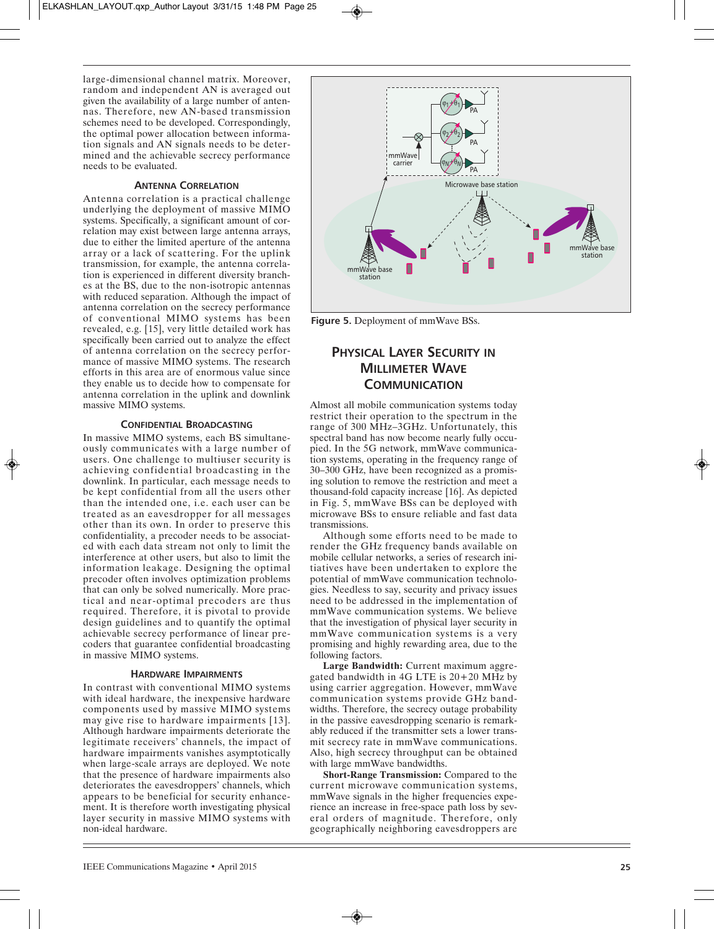large-dimensional channel matrix. Moreover, random and independent AN is averaged out given the availability of a large number of antennas. Therefore, new AN-based transmission schemes need to be developed. Correspondingly, the optimal power allocation between information signals and AN signals needs to be determined and the achievable secrecy performance needs to be evaluated.

#### **ANTENNA CORRELATION**

Antenna correlation is a practical challenge underlying the deployment of massive MIMO systems. Specifically, a significant amount of correlation may exist between large antenna arrays, due to either the limited aperture of the antenna array or a lack of scattering. For the uplink transmission, for example, the antenna correlation is experienced in different diversity branches at the BS, due to the non-isotropic antennas with reduced separation. Although the impact of antenna correlation on the secrecy performance of conventional MIMO systems has been revealed, e.g. [15], very little detailed work has specifically been carried out to analyze the effect of antenna correlation on the secrecy performance of massive MIMO systems. The research efforts in this area are of enormous value since they enable us to decide how to compensate for antenna correlation in the uplink and downlink massive MIMO systems.

## **CONFIDENTIAL BROADCASTING**

In massive MIMO systems, each BS simultaneously communicates with a large number of users. One challenge to multiuser security is achieving confidential broadcasting in the downlink. In particular, each message needs to be kept confidential from all the users other than the intended one, i.e. each user can be treated as an eavesdropper for all messages other than its own. In order to preserve this confidentiality, a precoder needs to be associated with each data stream not only to limit the interference at other users, but also to limit the information leakage. Designing the optimal precoder often involves optimization problems that can only be solved numerically. More practical and near-optimal precoders are thus required. Therefore, it is pivotal to provide design guidelines and to quantify the optimal achievable secrecy performance of linear precoders that guarantee confidential broadcasting in massive MIMO systems.

#### **HARDWARE IMPAIRMENTS**

In contrast with conventional MIMO systems with ideal hardware, the inexpensive hardware components used by massive MIMO systems may give rise to hardware impairments [13]. Although hardware impairments deteriorate the legitimate receivers' channels, the impact of hardware impairments vanishes asymptotically when large-scale arrays are deployed. We note that the presence of hardware impairments also deteriorates the eavesdroppers' channels, which appears to be beneficial for security enhancement. It is therefore worth investigating physical layer security in massive MIMO systems with non-ideal hardware.



**Figure 5.** Deployment of mmWave BSs.

# **PHYSICAL LAYER SECURITY IN MILLIMETER WAVE COMMUNICATION**

Almost all mobile communication systems today restrict their operation to the spectrum in the range of 300 MHz–3GHz. Unfortunately, this spectral band has now become nearly fully occupied. In the 5G network, mmWave communication systems, operating in the frequency range of 30–300 GHz, have been recognized as a promising solution to remove the restriction and meet a thousand-fold capacity increase [16]. As depicted in Fig. 5, mmWave BSs can be deployed with microwave BSs to ensure reliable and fast data transmissions.

Although some efforts need to be made to render the GHz frequency bands available on mobile cellular networks, a series of research initiatives have been undertaken to explore the potential of mmWave communication technologies. Needless to say, security and privacy issues need to be addressed in the implementation of mmWave communication systems. We believe that the investigation of physical layer security in mmWave communication systems is a very promising and highly rewarding area, due to the following factors.

**Large Bandwidth:** Current maximum aggregated bandwidth in  $4G$  LTE is  $20+20$  MHz by using carrier aggregation. However, mmWave communication systems provide GHz bandwidths. Therefore, the secrecy outage probability in the passive eavesdropping scenario is remarkably reduced if the transmitter sets a lower transmit secrecy rate in mmWave communications. Also, high secrecy throughput can be obtained with large mmWave bandwidths.

**Short-Range Transmission:** Compared to the current microwave communication systems, mmWave signals in the higher frequencies experience an increase in free-space path loss by several orders of magnitude. Therefore, only geographically neighboring eavesdroppers are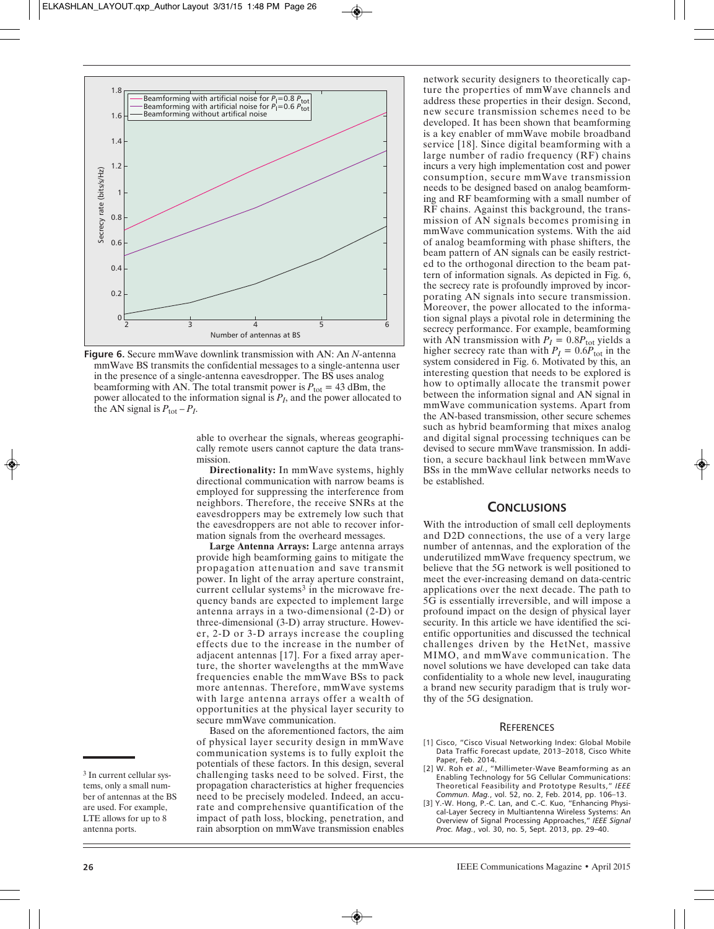

**Figure 6.** Secure mmWave downlink transmission with AN: An *N*-antenna mmWave BS transmits the confidential messages to a single-antenna user in the presence of a single-antenna eavesdropper. The BS uses analog beamforming with AN. The total transmit power is  $P_{\text{tot}} = 43$  dBm, the power allocated to the information signal is  $P_I$ , and the power allocated to the AN signal is  $P_{\text{tot}} - P_I$ .

able to overhear the signals, whereas geographically remote users cannot capture the data transmission.

**Directionality:** In mmWave systems, highly directional communication with narrow beams is employed for suppressing the interference from neighbors. Therefore, the receive SNRs at the eavesdroppers may be extremely low such that the eavesdroppers are not able to recover information signals from the overheard messages.

**Large Antenna Arrays:** Large antenna arrays provide high beamforming gains to mitigate the propagation attenuation and save transmit power. In light of the array aperture constraint, current cellular systems $3$  in the microwave frequency bands are expected to implement large antenna arrays in a two-dimensional (2-D) or three-dimensional (3-D) array structure. However, 2-D or 3-D arrays increase the coupling effects due to the increase in the number of adjacent antennas [17]. For a fixed array aperture, the shorter wavelengths at the mmWave frequencies enable the mmWave BSs to pack more antennas. Therefore, mmWave systems with large antenna arrays offer a wealth of opportunities at the physical layer security to secure mmWave communication.

Based on the aforementioned factors, the aim of physical layer security design in mmWave communication systems is to fully exploit the potentials of these factors. In this design, several challenging tasks need to be solved. First, the propagation characteristics at higher frequencies need to be precisely modeled. Indeed, an accurate and comprehensive quantification of the impact of path loss, blocking, penetration, and rain absorption on mmWave transmission enables

network security designers to theoretically capture the properties of mmWave channels and address these properties in their design. Second, new secure transmission schemes need to be developed. It has been shown that beamforming is a key enabler of mmWave mobile broadband service [18]. Since digital beamforming with a large number of radio frequency (RF) chains incurs a very high implementation cost and power consumption, secure mmWave transmission needs to be designed based on analog beamforming and RF beamforming with a small number of RF chains. Against this background, the transmission of AN signals becomes promising in mmWave communication systems. With the aid of analog beamforming with phase shifters, the beam pattern of AN signals can be easily restricted to the orthogonal direction to the beam pattern of information signals. As depicted in Fig. 6, the secrecy rate is profoundly improved by incorporating AN signals into secure transmission. Moreover, the power allocated to the information signal plays a pivotal role in determining the secrecy performance. For example, beamforming with AN transmission with  $P_I = 0.8 P_{tot}$  yields a higher secrecy rate than with  $P_I = 0.6P_{tot}$  in the system considered in Fig. 6. Motivated by this, an interesting question that needs to be explored is how to optimally allocate the transmit power between the information signal and AN signal in mmWave communication systems. Apart from the AN-based transmission, other secure schemes such as hybrid beamforming that mixes analog and digital signal processing techniques can be devised to secure mmWave transmission. In addition, a secure backhaul link between mmWave BSs in the mmWave cellular networks needs to be established.

## **CONCLUSIONS**

With the introduction of small cell deployments and D2D connections, the use of a very large number of antennas, and the exploration of the underutilized mmWave frequency spectrum, we believe that the 5G network is well positioned to meet the ever-increasing demand on data-centric applications over the next decade. The path to 5G is essentially irreversible, and will impose a profound impact on the design of physical layer security. In this article we have identified the scientific opportunities and discussed the technical challenges driven by the HetNet, massive MIMO, and mmWave communication. The novel solutions we have developed can take data confidentiality to a whole new level, inaugurating a brand new security paradigm that is truly worthy of the 5G designation.

#### **REFERENCES**

- [1] Cisco, "Cisco Visual Networking Index: Global Mobile Data Traffic Forecast update, 2013–2018, Cisco White Paper, Feb. 2014.
- [2] W. Roh *et al.*, "Millimeter-Wave Beamforming as an Enabling Technology for 5G Cellular Communications: Theoretical Feasibility and Prototype Results," *IEEE Commun. Mag.*, vol. 52, no. 2, Feb. 2014, pp. 106–13.
- [3] Y.-W. Hong, P.-C. Lan, and C.-C. Kuo, "Enhancing Physical-Layer Secrecy in Multiantenna Wireless Systems: An Overview of Signal Processing Approaches," *IEEE Signal Proc. Mag.*, vol. 30, no. 5, Sept. 2013, pp. 29–40.

<sup>3</sup> In current cellular systems, only a small number of antennas at the BS are used. For example, LTE allows for up to 8 antenna ports.